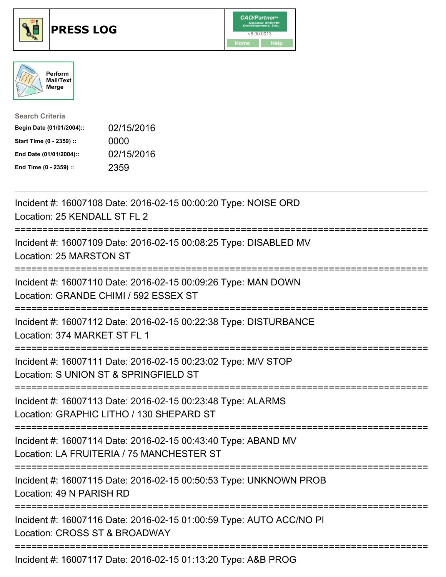





| <b>Search Criteria</b>    |            |
|---------------------------|------------|
| Begin Date (01/01/2004):: | 02/15/2016 |
| Start Time (0 - 2359) ::  | 0000       |
| End Date (01/01/2004)::   | 02/15/2016 |
| End Time (0 - 2359) ::    | 2359       |

| Incident #: 16007108 Date: 2016-02-15 00:00:20 Type: NOISE ORD<br>Location: 25 KENDALL ST FL 2                                                   |
|--------------------------------------------------------------------------------------------------------------------------------------------------|
| Incident #: 16007109 Date: 2016-02-15 00:08:25 Type: DISABLED MV<br>Location: 25 MARSTON ST<br>---------------                                   |
| Incident #: 16007110 Date: 2016-02-15 00:09:26 Type: MAN DOWN<br>Location: GRANDE CHIMI / 592 ESSEX ST                                           |
| Incident #: 16007112 Date: 2016-02-15 00:22:38 Type: DISTURBANCE<br>Location: 374 MARKET ST FL 1<br>---------------------<br>--------------      |
| Incident #: 16007111 Date: 2016-02-15 00:23:02 Type: M/V STOP<br>Location: S UNION ST & SPRINGFIELD ST                                           |
| Incident #: 16007113 Date: 2016-02-15 00:23:48 Type: ALARMS<br>Location: GRAPHIC LITHO / 130 SHEPARD ST<br>==============================        |
| Incident #: 16007114 Date: 2016-02-15 00:43:40 Type: ABAND MV<br>Location: LA FRUITERIA / 75 MANCHESTER ST<br>================================== |
| Incident #: 16007115 Date: 2016-02-15 00:50:53 Type: UNKNOWN PROB<br>Location: 49 N PARISH RD                                                    |
| Incident #: 16007116 Date: 2016-02-15 01:00:59 Type: AUTO ACC/NO PI<br>Location: CROSS ST & BROADWAY                                             |
| Incident #: 16007117 Date: 2016-02-15 01:13:20 Type: A&B PROG                                                                                    |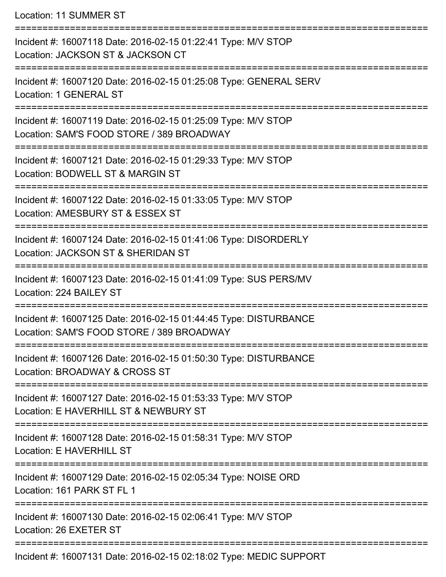Location: 11 SUMMER ST

| Incident #: 16007118 Date: 2016-02-15 01:22:41 Type: M/V STOP<br>Location: JACKSON ST & JACKSON CT            |
|---------------------------------------------------------------------------------------------------------------|
| Incident #: 16007120 Date: 2016-02-15 01:25:08 Type: GENERAL SERV<br>Location: 1 GENERAL ST                   |
| Incident #: 16007119 Date: 2016-02-15 01:25:09 Type: M/V STOP<br>Location: SAM'S FOOD STORE / 389 BROADWAY    |
| Incident #: 16007121 Date: 2016-02-15 01:29:33 Type: M/V STOP<br>Location: BODWELL ST & MARGIN ST             |
| Incident #: 16007122 Date: 2016-02-15 01:33:05 Type: M/V STOP<br>Location: AMESBURY ST & ESSEX ST             |
| Incident #: 16007124 Date: 2016-02-15 01:41:06 Type: DISORDERLY<br>Location: JACKSON ST & SHERIDAN ST         |
| Incident #: 16007123 Date: 2016-02-15 01:41:09 Type: SUS PERS/MV<br>Location: 224 BAILEY ST                   |
| Incident #: 16007125 Date: 2016-02-15 01:44:45 Type: DISTURBANCE<br>Location: SAM'S FOOD STORE / 389 BROADWAY |
| Incident #: 16007126 Date: 2016-02-15 01:50:30 Type: DISTURBANCE<br>Location: BROADWAY & CROSS ST             |
| Incident #: 16007127 Date: 2016-02-15 01:53:33 Type: M/V STOP<br>Location: E HAVERHILL ST & NEWBURY ST        |
| Incident #: 16007128 Date: 2016-02-15 01:58:31 Type: M/V STOP<br>Location: E HAVERHILL ST                     |
| Incident #: 16007129 Date: 2016-02-15 02:05:34 Type: NOISE ORD<br>Location: 161 PARK ST FL 1                  |
| Incident #: 16007130 Date: 2016-02-15 02:06:41 Type: M/V STOP<br>Location: 26 EXETER ST                       |
| Incident #: 16007131 Date: 2016-02-15 02:18:02 Type: MEDIC SUPPORT                                            |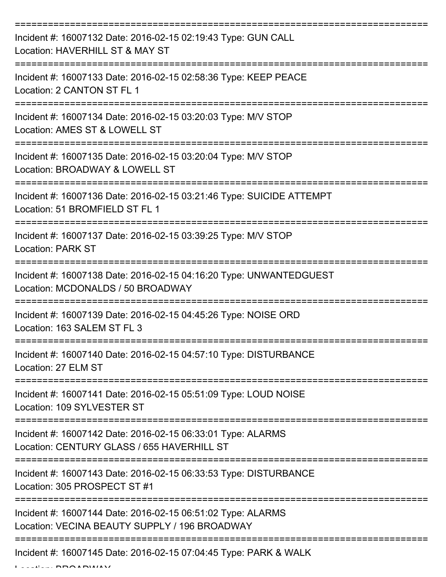| Incident #: 16007132 Date: 2016-02-15 02:19:43 Type: GUN CALL<br>Location: HAVERHILL ST & MAY ST             |
|--------------------------------------------------------------------------------------------------------------|
| Incident #: 16007133 Date: 2016-02-15 02:58:36 Type: KEEP PEACE<br>Location: 2 CANTON ST FL 1                |
| Incident #: 16007134 Date: 2016-02-15 03:20:03 Type: M/V STOP<br>Location: AMES ST & LOWELL ST               |
| Incident #: 16007135 Date: 2016-02-15 03:20:04 Type: M/V STOP<br>Location: BROADWAY & LOWELL ST              |
| Incident #: 16007136 Date: 2016-02-15 03:21:46 Type: SUICIDE ATTEMPT<br>Location: 51 BROMFIELD ST FL 1       |
| Incident #: 16007137 Date: 2016-02-15 03:39:25 Type: M/V STOP<br><b>Location: PARK ST</b><br>-------------   |
| Incident #: 16007138 Date: 2016-02-15 04:16:20 Type: UNWANTEDGUEST<br>Location: MCDONALDS / 50 BROADWAY      |
| Incident #: 16007139 Date: 2016-02-15 04:45:26 Type: NOISE ORD<br>Location: 163 SALEM ST FL 3                |
| Incident #: 16007140 Date: 2016-02-15 04:57:10 Type: DISTURBANCE<br>Location: 27 ELM ST                      |
| Incident #: 16007141 Date: 2016-02-15 05:51:09 Type: LOUD NOISE<br>Location: 109 SYLVESTER ST                |
| Incident #: 16007142 Date: 2016-02-15 06:33:01 Type: ALARMS<br>Location: CENTURY GLASS / 655 HAVERHILL ST    |
| Incident #: 16007143 Date: 2016-02-15 06:33:53 Type: DISTURBANCE<br>Location: 305 PROSPECT ST #1             |
| Incident #: 16007144 Date: 2016-02-15 06:51:02 Type: ALARMS<br>Location: VECINA BEAUTY SUPPLY / 196 BROADWAY |
| Incident #: 16007145 Date: 2016-02-15 07:04:45 Type: PARK & WALK                                             |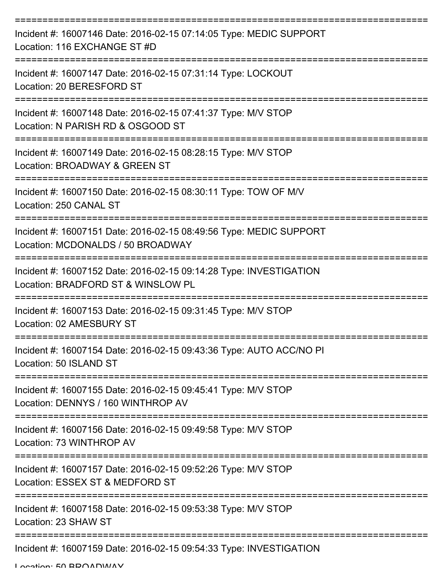| Incident #: 16007146 Date: 2016-02-15 07:14:05 Type: MEDIC SUPPORT<br>Location: 116 EXCHANGE ST #D       |
|----------------------------------------------------------------------------------------------------------|
| Incident #: 16007147 Date: 2016-02-15 07:31:14 Type: LOCKOUT<br>Location: 20 BERESFORD ST                |
| Incident #: 16007148 Date: 2016-02-15 07:41:37 Type: M/V STOP<br>Location: N PARISH RD & OSGOOD ST       |
| Incident #: 16007149 Date: 2016-02-15 08:28:15 Type: M/V STOP<br>Location: BROADWAY & GREEN ST           |
| Incident #: 16007150 Date: 2016-02-15 08:30:11 Type: TOW OF M/V<br>Location: 250 CANAL ST                |
| Incident #: 16007151 Date: 2016-02-15 08:49:56 Type: MEDIC SUPPORT<br>Location: MCDONALDS / 50 BROADWAY  |
| Incident #: 16007152 Date: 2016-02-15 09:14:28 Type: INVESTIGATION<br>Location: BRADFORD ST & WINSLOW PL |
| Incident #: 16007153 Date: 2016-02-15 09:31:45 Type: M/V STOP<br>Location: 02 AMESBURY ST                |
| Incident #: 16007154 Date: 2016-02-15 09:43:36 Type: AUTO ACC/NO PI<br>Location: 50 ISLAND ST            |
| Incident #: 16007155 Date: 2016-02-15 09:45:41 Type: M/V STOP<br>Location: DENNYS / 160 WINTHROP AV      |
| Incident #: 16007156 Date: 2016-02-15 09:49:58 Type: M/V STOP<br>Location: 73 WINTHROP AV                |
| Incident #: 16007157 Date: 2016-02-15 09:52:26 Type: M/V STOP<br>Location: ESSEX ST & MEDFORD ST         |
| Incident #: 16007158 Date: 2016-02-15 09:53:38 Type: M/V STOP<br>Location: 23 SHAW ST                    |
| Incident #: 16007159 Date: 2016-02-15 09:54:33 Type: INVESTIGATION                                       |

Location: EN BBOADWAY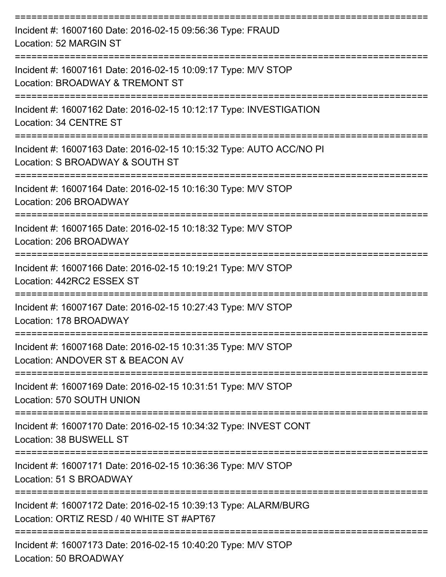| Incident #: 16007160 Date: 2016-02-15 09:56:36 Type: FRAUD<br>Location: 52 MARGIN ST                         |
|--------------------------------------------------------------------------------------------------------------|
| Incident #: 16007161 Date: 2016-02-15 10:09:17 Type: M/V STOP<br>Location: BROADWAY & TREMONT ST             |
| Incident #: 16007162 Date: 2016-02-15 10:12:17 Type: INVESTIGATION<br>Location: 34 CENTRE ST                 |
| Incident #: 16007163 Date: 2016-02-15 10:15:32 Type: AUTO ACC/NO PI<br>Location: S BROADWAY & SOUTH ST       |
| Incident #: 16007164 Date: 2016-02-15 10:16:30 Type: M/V STOP<br>Location: 206 BROADWAY                      |
| Incident #: 16007165 Date: 2016-02-15 10:18:32 Type: M/V STOP<br>Location: 206 BROADWAY                      |
| Incident #: 16007166 Date: 2016-02-15 10:19:21 Type: M/V STOP<br>Location: 442RC2 ESSEX ST                   |
| Incident #: 16007167 Date: 2016-02-15 10:27:43 Type: M/V STOP<br>Location: 178 BROADWAY                      |
| Incident #: 16007168 Date: 2016-02-15 10:31:35 Type: M/V STOP<br>Location: ANDOVER ST & BEACON AV            |
| Incident #: 16007169 Date: 2016-02-15 10:31:51 Type: M/V STOP<br>Location: 570 SOUTH UNION                   |
| Incident #: 16007170 Date: 2016-02-15 10:34:32 Type: INVEST CONT<br>Location: 38 BUSWELL ST                  |
| Incident #: 16007171 Date: 2016-02-15 10:36:36 Type: M/V STOP<br>Location: 51 S BROADWAY                     |
| Incident #: 16007172 Date: 2016-02-15 10:39:13 Type: ALARM/BURG<br>Location: ORTIZ RESD / 40 WHITE ST #APT67 |
| Incident #: 16007173 Date: 2016-02-15 10:40:20 Type: M/V STOP                                                |

Location: 50 BROADWAY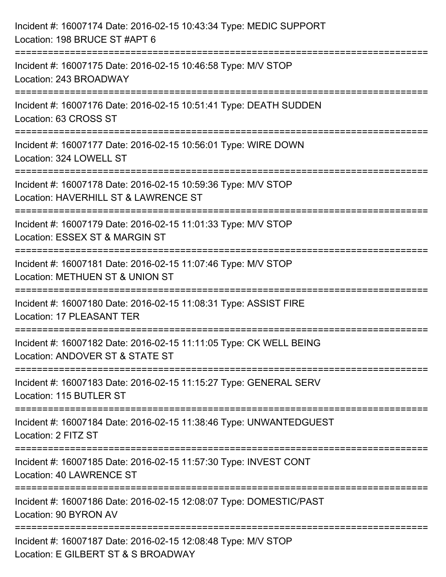| Incident #: 16007174 Date: 2016-02-15 10:43:34 Type: MEDIC SUPPORT<br>Location: 198 BRUCE ST #APT 6                    |
|------------------------------------------------------------------------------------------------------------------------|
| Incident #: 16007175 Date: 2016-02-15 10:46:58 Type: M/V STOP<br>Location: 243 BROADWAY                                |
| Incident #: 16007176 Date: 2016-02-15 10:51:41 Type: DEATH SUDDEN<br>Location: 63 CROSS ST                             |
| Incident #: 16007177 Date: 2016-02-15 10:56:01 Type: WIRE DOWN<br>Location: 324 LOWELL ST                              |
| Incident #: 16007178 Date: 2016-02-15 10:59:36 Type: M/V STOP<br>Location: HAVERHILL ST & LAWRENCE ST                  |
| Incident #: 16007179 Date: 2016-02-15 11:01:33 Type: M/V STOP<br>Location: ESSEX ST & MARGIN ST                        |
| :22222222222222222<br>Incident #: 16007181 Date: 2016-02-15 11:07:46 Type: M/V STOP<br>Location: METHUEN ST & UNION ST |
| Incident #: 16007180 Date: 2016-02-15 11:08:31 Type: ASSIST FIRE<br>Location: 17 PLEASANT TER                          |
| Incident #: 16007182 Date: 2016-02-15 11:11:05 Type: CK WELL BEING<br>Location: ANDOVER ST & STATE ST                  |
| Incident #: 16007183 Date: 2016-02-15 11:15:27 Type: GENERAL SERV<br>Location: 115 BUTLER ST                           |
| Incident #: 16007184 Date: 2016-02-15 11:38:46 Type: UNWANTEDGUEST<br>Location: 2 FITZ ST                              |
| Incident #: 16007185 Date: 2016-02-15 11:57:30 Type: INVEST CONT<br>Location: 40 LAWRENCE ST                           |
| Incident #: 16007186 Date: 2016-02-15 12:08:07 Type: DOMESTIC/PAST<br>Location: 90 BYRON AV                            |
| Incident #: 16007187 Date: 2016-02-15 12:08:48 Type: M/V STOP<br>Location: E GILBERT ST & S BROADWAY                   |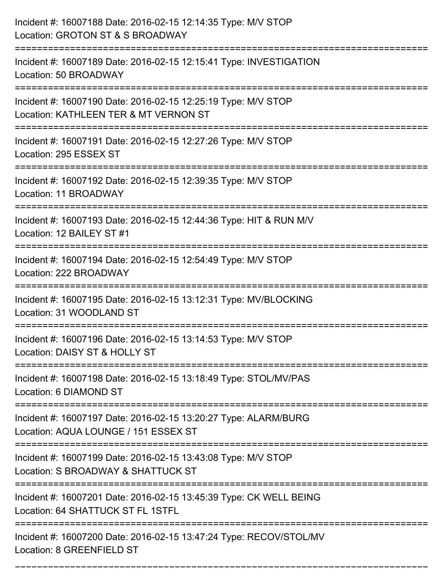| Incident #: 16007188 Date: 2016-02-15 12:14:35 Type: M/V STOP<br>Location: GROTON ST & S BROADWAY                                           |
|---------------------------------------------------------------------------------------------------------------------------------------------|
| Incident #: 16007189 Date: 2016-02-15 12:15:41 Type: INVESTIGATION<br>Location: 50 BROADWAY                                                 |
| Incident #: 16007190 Date: 2016-02-15 12:25:19 Type: M/V STOP<br>Location: KATHLEEN TER & MT VERNON ST                                      |
| Incident #: 16007191 Date: 2016-02-15 12:27:26 Type: M/V STOP<br>Location: 295 ESSEX ST                                                     |
| Incident #: 16007192 Date: 2016-02-15 12:39:35 Type: M/V STOP<br>Location: 11 BROADWAY                                                      |
| Incident #: 16007193 Date: 2016-02-15 12:44:36 Type: HIT & RUN M/V<br>Location: 12 BAILEY ST #1                                             |
| Incident #: 16007194 Date: 2016-02-15 12:54:49 Type: M/V STOP<br>Location: 222 BROADWAY                                                     |
| Incident #: 16007195 Date: 2016-02-15 13:12:31 Type: MV/BLOCKING<br>Location: 31 WOODLAND ST                                                |
| Incident #: 16007196 Date: 2016-02-15 13:14:53 Type: M/V STOP<br>Location: DAISY ST & HOLLY ST                                              |
| Incident #: 16007198 Date: 2016-02-15 13:18:49 Type: STOL/MV/PAS<br>Location: 6 DIAMOND ST                                                  |
| :===============================<br>Incident #: 16007197 Date: 2016-02-15 13:20:27 Type: ALARM/BURG<br>Location: AQUA LOUNGE / 151 ESSEX ST |
| Incident #: 16007199 Date: 2016-02-15 13:43:08 Type: M/V STOP<br>Location: S BROADWAY & SHATTUCK ST                                         |
| ===================<br>Incident #: 16007201 Date: 2016-02-15 13:45:39 Type: CK WELL BEING<br>Location: 64 SHATTUCK ST FL 1STFL              |
| Incident #: 16007200 Date: 2016-02-15 13:47:24 Type: RECOV/STOL/MV<br>Location: 8 GREENFIELD ST                                             |

===========================================================================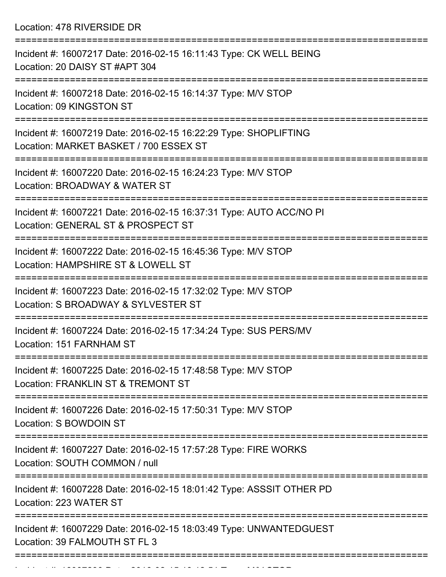Location: 478 RIVERSIDE DR

| Incident #: 16007217 Date: 2016-02-15 16:11:43 Type: CK WELL BEING<br>Location: 20 DAISY ST #APT 304       |
|------------------------------------------------------------------------------------------------------------|
| Incident #: 16007218 Date: 2016-02-15 16:14:37 Type: M/V STOP<br>Location: 09 KINGSTON ST                  |
| Incident #: 16007219 Date: 2016-02-15 16:22:29 Type: SHOPLIFTING<br>Location: MARKET BASKET / 700 ESSEX ST |
| Incident #: 16007220 Date: 2016-02-15 16:24:23 Type: M/V STOP<br>Location: BROADWAY & WATER ST             |
| Incident #: 16007221 Date: 2016-02-15 16:37:31 Type: AUTO ACC/NO PI<br>Location: GENERAL ST & PROSPECT ST  |
| Incident #: 16007222 Date: 2016-02-15 16:45:36 Type: M/V STOP<br>Location: HAMPSHIRE ST & LOWELL ST        |
| Incident #: 16007223 Date: 2016-02-15 17:32:02 Type: M/V STOP<br>Location: S BROADWAY & SYLVESTER ST       |
| Incident #: 16007224 Date: 2016-02-15 17:34:24 Type: SUS PERS/MV<br>Location: 151 FARNHAM ST               |
| Incident #: 16007225 Date: 2016-02-15 17:48:58 Type: M/V STOP<br>Location: FRANKLIN ST & TREMONT ST        |
| Incident #: 16007226 Date: 2016-02-15 17:50:31 Type: M/V STOP<br>Location: S BOWDOIN ST                    |
| Incident #: 16007227 Date: 2016-02-15 17:57:28 Type: FIRE WORKS<br>Location: SOUTH COMMON / null           |
| Incident #: 16007228 Date: 2016-02-15 18:01:42 Type: ASSSIT OTHER PD<br>Location: 223 WATER ST             |
| Incident #: 16007229 Date: 2016-02-15 18:03:49 Type: UNWANTEDGUEST<br>Location: 39 FALMOUTH ST FL 3        |
|                                                                                                            |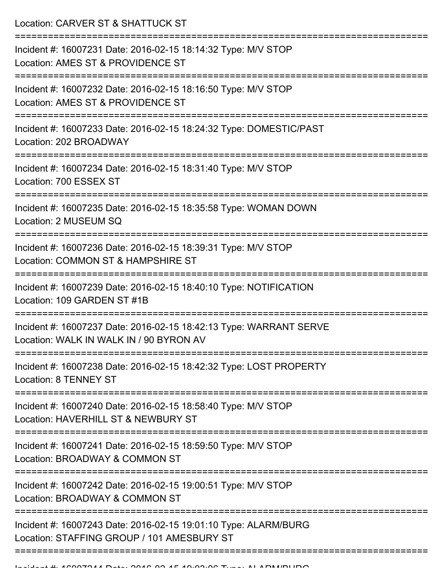Location: CARVER ST & SHATTUCK ST =========================================================================== Incident #: 16007231 Date: 2016-02-15 18:14:32 Type: M/V STOP Location: AMES ST & PROVIDENCE ST =========================================================================== Incident #: 16007232 Date: 2016-02-15 18:16:50 Type: M/V STOP Location: AMES ST & PROVIDENCE ST =========================================================================== Incident #: 16007233 Date: 2016-02-15 18:24:32 Type: DOMESTIC/PAST Location: 202 BROADWAY =========================================================================== Incident #: 16007234 Date: 2016-02-15 18:31:40 Type: M/V STOP Location: 700 ESSEX ST =========================================================================== Incident #: 16007235 Date: 2016-02-15 18:35:58 Type: WOMAN DOWN Location: 2 MUSEUM SQ =========================================================================== Incident #: 16007236 Date: 2016-02-15 18:39:31 Type: M/V STOP Location: COMMON ST & HAMPSHIRE ST =========================================================================== Incident #: 16007239 Date: 2016-02-15 18:40:10 Type: NOTIFICATION Location: 109 GARDEN ST #1B =========================================================================== Incident #: 16007237 Date: 2016-02-15 18:42:13 Type: WARRANT SERVE Location: WALK IN WALK IN / 90 BYRON AV =========================================================================== Incident #: 16007238 Date: 2016-02-15 18:42:32 Type: LOST PROPERTY Location: 8 TENNEY ST =========================================================================== Incident #: 16007240 Date: 2016-02-15 18:58:40 Type: M/V STOP Location: HAVERHILL ST & NEWBURY ST =========================================================================== Incident #: 16007241 Date: 2016-02-15 18:59:50 Type: M/V STOP Location: BROADWAY & COMMON ST =========================================================================== Incident #: 16007242 Date: 2016-02-15 19:00:51 Type: M/V STOP Location: BROADWAY & COMMON ST =========================================================================== Incident #: 16007243 Date: 2016-02-15 19:01:10 Type: ALARM/BURG Location: STAFFING GROUP / 101 AMESBURY ST

===========================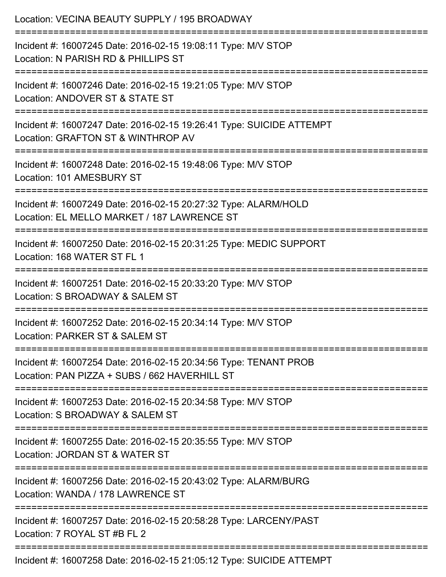| Location: VECINA BEAUTY SUPPLY / 195 BROADWAY                                                                                           |
|-----------------------------------------------------------------------------------------------------------------------------------------|
| Incident #: 16007245 Date: 2016-02-15 19:08:11 Type: M/V STOP<br>Location: N PARISH RD & PHILLIPS ST                                    |
| Incident #: 16007246 Date: 2016-02-15 19:21:05 Type: M/V STOP<br>Location: ANDOVER ST & STATE ST                                        |
| Incident #: 16007247 Date: 2016-02-15 19:26:41 Type: SUICIDE ATTEMPT<br>Location: GRAFTON ST & WINTHROP AV                              |
| Incident #: 16007248 Date: 2016-02-15 19:48:06 Type: M/V STOP<br>Location: 101 AMESBURY ST                                              |
| Incident #: 16007249 Date: 2016-02-15 20:27:32 Type: ALARM/HOLD<br>Location: EL MELLO MARKET / 187 LAWRENCE ST                          |
| :=================================<br>Incident #: 16007250 Date: 2016-02-15 20:31:25 Type: MEDIC SUPPORT<br>Location: 168 WATER ST FL 1 |
| Incident #: 16007251 Date: 2016-02-15 20:33:20 Type: M/V STOP<br>Location: S BROADWAY & SALEM ST                                        |
| Incident #: 16007252 Date: 2016-02-15 20:34:14 Type: M/V STOP<br>Location: PARKER ST & SALEM ST                                         |
| Incident #: 16007254 Date: 2016-02-15 20:34:56 Type: TENANT PROB<br>Location: PAN PIZZA + SUBS / 662 HAVERHILL ST                       |
| Incident #: 16007253 Date: 2016-02-15 20:34:58 Type: M/V STOP<br>Location: S BROADWAY & SALEM ST                                        |
| Incident #: 16007255 Date: 2016-02-15 20:35:55 Type: M/V STOP<br>Location: JORDAN ST & WATER ST                                         |
| Incident #: 16007256 Date: 2016-02-15 20:43:02 Type: ALARM/BURG<br>Location: WANDA / 178 LAWRENCE ST                                    |
| Incident #: 16007257 Date: 2016-02-15 20:58:28 Type: LARCENY/PAST<br>Location: 7 ROYAL ST #B FL 2                                       |
| $Inoidont + 16007250$ Deta: $2016.02$ 15 $21.05.12$ Tupe: CUICIDE ATTEMPT                                                               |

Incident #: 16007258 Date: 2016-02-15 21:05:12 Type: SUICIDE ATTEMPT